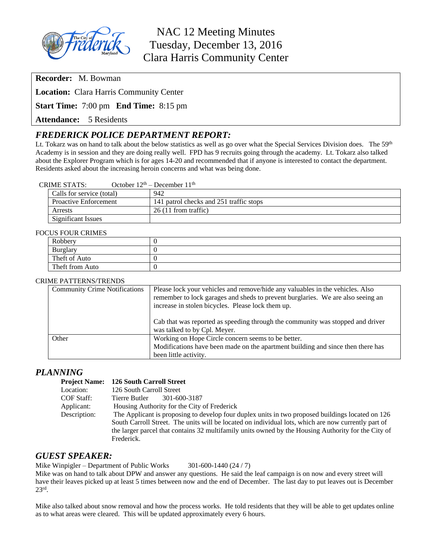

# NAC 12 Meeting Minutes Tuesday, December 13, 2016 Clara Harris Community Center

**Recorder:** M. Bowman

**Location:** Clara Harris Community Center

**Start Time:** 7:00 pm **End Time:** 8:15 pm

**Attendance:** 5 Residents

# *FREDERICK POLICE DEPARTMENT REPORT:*

Lt. Tokarz was on hand to talk about the below statistics as well as go over what the Special Services Division does. The 59<sup>th</sup> Academy is in session and they are doing really well. FPD has 9 recruits going through the academy. Lt. Tokarz also talked about the Explorer Program which is for ages 14-20 and recommended that if anyone is interested to contact the department. Residents asked about the increasing heroin concerns and what was being done.

#### CRIME STATS: October  $12<sup>th</sup>$  – December  $11<sup>th</sup>$

| Calls for service (total)    | 942                                     |
|------------------------------|-----------------------------------------|
| <b>Proactive Enforcement</b> | 141 patrol checks and 251 traffic stops |
| Arrests                      | $26(11$ from traffic)                   |
| Significant Issues           |                                         |

#### FOCUS FOUR CRIMES

| $20010$ CRIMILD |  |  |
|-----------------|--|--|
| Robbery         |  |  |
| Burglary        |  |  |
| Theft of Auto   |  |  |
| Theft from Auto |  |  |

#### CRIME PATTERNS/TRENDS

| <b>Community Crime Notifications</b> | Please lock your vehicles and remove/hide any valuables in the vehicles. Also<br>remember to lock garages and sheds to prevent burglaries. We are also seeing an<br>increase in stolen bicycles. Please lock them up. |
|--------------------------------------|-----------------------------------------------------------------------------------------------------------------------------------------------------------------------------------------------------------------------|
|                                      | Cab that was reported as speeding through the community was stopped and driver<br>was talked to by Cpl. Meyer.                                                                                                        |
| Other                                | Working on Hope Circle concern seems to be better.<br>Modifications have been made on the apartment building and since then there has                                                                                 |
|                                      | been little activity.                                                                                                                                                                                                 |

#### *PLANNING*

| <b>Project Name:</b> | 126 South Carroll Street                                                                            |
|----------------------|-----------------------------------------------------------------------------------------------------|
| Location:            | 126 South Carroll Street                                                                            |
| COF Staff:           | 301-600-3187<br>Tierre Butler                                                                       |
| Applicant:           | Housing Authority for the City of Frederick                                                         |
| Description:         | The Applicant is proposing to develop four duplex units in two proposed buildings located on 126    |
|                      | South Carroll Street. The units will be located on individual lots, which are now currently part of |
|                      | the larger parcel that contains 32 multifamily units owned by the Housing Authority for the City of |
|                      | Frederick.                                                                                          |

#### *GUEST SPEAKER:*

Mike Winpigler – Department of Public Works 301-600-1440 (24 / 7)

Mike was on hand to talk about DPW and answer any questions. He said the leaf campaign is on now and every street will have their leaves picked up at least 5 times between now and the end of December. The last day to put leaves out is December 23rd .

Mike also talked about snow removal and how the process works. He told residents that they will be able to get updates online as to what areas were cleared. This will be updated approximately every 6 hours.